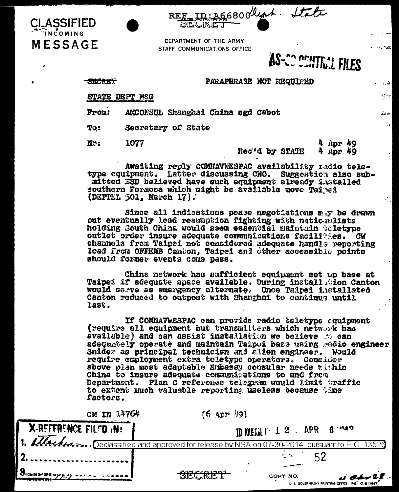REE ID: AG6800 lept. State

 $\tilde{N}$ NCOMING MESSAGE

**CLASSIFIED** 

DEPARTMENT OF THE ARMY STAFF COMMUNICATIONS OFFICE

CO CENTREL FILES

**SALES** 

اتقاء

\* \* \* 1

العدفان  $\mathbf{r}$ 

**SECRET** 

**PARAPHRASE NOT REQUIPED** 

STATE DEPT MSG

From: AMCONSUL Shanghai China sgd Cabot

Secretary of State To:

Nr: 1077

4 Apr 49 4 Apr 49 Rec'd by STATE

Awaiting reply COMHAVWESPAC availability radio teletype coulpment. Latter discussing CNO. Suggestion also sub-<br>mitted ESD believed have such equipment already installed southern Formosa which night be available move Taipei (DEPTEL 501, March 17).

Since all indications pease negotiations may be drawn out eventually lead resumption fighting with natic milists holding South China would seem essential maintain toletype outlet order insure adequate communications facilities. CW channels from Taipei not considered adequate handle reporting load from OFFEMB Canton, Taipei and other accessible points should former events come pass.

China network has sufficient equipment set up base at Taipei if adequate space available. During install dion Canton would serve as emergency alternate, Once Tainei installated Canton reduced to outpost with Shanghai to continue until last.

If COMNAVWESPAC can provide radio teletype cquipment (require all equipment but transmitters which network has available) and can assist installation we believe me can adequately operate and maintain Talpoi base using madio engineer Snider as principal technicisn and alien engineer. Would require employment extra teletype operators. Consider above plan most adaptable Embassy consular needs within China to insure adequate communications to and from Department. Plan C reference telegram would limit traffic to extent much valuable reporting useless because time factors.

| CM IN 14764           | $(6$ Apr $49$                                                                                                                                                                                                                  |
|-----------------------|--------------------------------------------------------------------------------------------------------------------------------------------------------------------------------------------------------------------------------|
| X-REFFRENCE FILED IN: | <b>DETERMINE 12 APR 6 <math>ma9</math></b>                                                                                                                                                                                     |
|                       | 1. Multiple of the Second Library of the Second 1. MEA COMPTETE OF THE COMPTETE OF THE SECOND SECOND TELL OF THE SECOND SECOND SECOND SECOND SECOND SECOND SECOND SECOND SECOND SECOND SECOND SECOND SECOND SECOND SECOND SECO |
| 2.                    |                                                                                                                                                                                                                                |
| 3.04-SEO-FORM         | <u>NR AG RA</u><br>$\boldsymbol{u}$ aprille<br>COPY NO.<br>die (Cikie II<br>U S GOVERNMENT PRINTING OFFICI 1946 0-811947                                                                                                       |